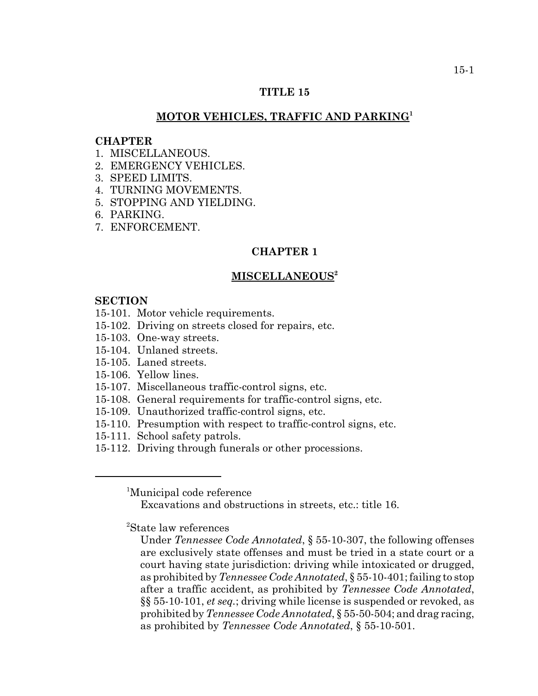## **TITLE 15**

## **MOTOR VEHICLES, TRAFFIC AND PARKING<sup>1</sup>**

#### **CHAPTER**

- 1 MISCELLANEOUS
- 2. EMERGENCY VEHICLES.
- 3. SPEED LIMITS.
- 4. TURNING MOVEMENTS.
- 5. STOPPING AND YIELDING.
- 6. PARKING.
- 7. ENFORCEMENT.

## **CHAPTER 1**

#### **MISCELLANEOUS2**

#### **SECTION**

- 15-101. Motor vehicle requirements.
- 15-102. Driving on streets closed for repairs, etc.
- 15-103. One-way streets.
- 15-104. Unlaned streets.
- 15-105. Laned streets.
- 15-106. Yellow lines.
- 15-107. Miscellaneous traffic-control signs, etc.
- 15-108. General requirements for traffic-control signs, etc.
- 15-109. Unauthorized traffic-control signs, etc.
- 15-110. Presumption with respect to traffic-control signs, etc.
- 15-111. School safety patrols.
- 15-112. Driving through funerals or other processions.

<sup>1</sup>Municipal code reference

Excavations and obstructions in streets, etc.: title 16.

2 State law references

Under *Tennessee Code Annotated*, § 55-10-307, the following offenses are exclusively state offenses and must be tried in a state court or a court having state jurisdiction: driving while intoxicated or drugged, as prohibited by *Tennessee Code Annotated*, § 55-10-401; failing to stop after a traffic accident, as prohibited by *Tennessee Code Annotated*, §§ 55-10-101, *et seq.*; driving while license is suspended or revoked, as prohibited by *Tennessee Code Annotated*, § 55-50-504; and drag racing, as prohibited by *Tennessee Code Annotated*, § 55-10-501.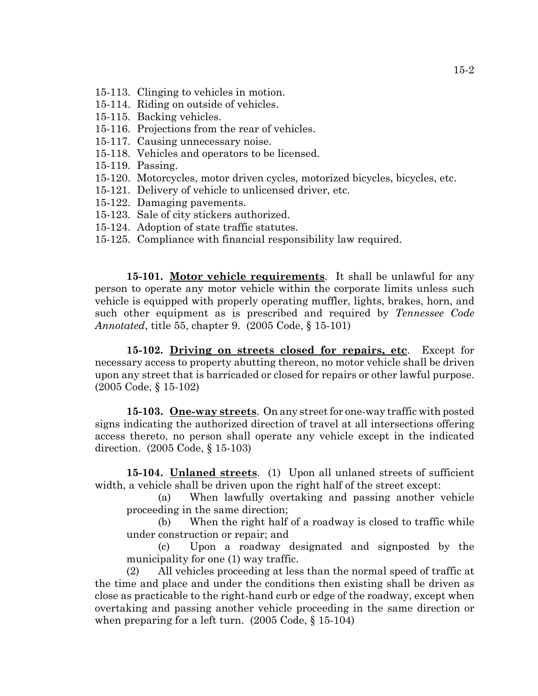- 15-113. Clinging to vehicles in motion.
- 15-114. Riding on outside of vehicles.
- 15-115. Backing vehicles.
- 15-116. Projections from the rear of vehicles.
- 15-117. Causing unnecessary noise.
- 15-118. Vehicles and operators to be licensed.
- 15-119. Passing.
- 15-120. Motorcycles, motor driven cycles, motorized bicycles, bicycles, etc.
- 15-121. Delivery of vehicle to unlicensed driver, etc.
- 15-122. Damaging pavements.
- 15-123. Sale of city stickers authorized.
- 15-124. Adoption of state traffic statutes.
- 15-125. Compliance with financial responsibility law required.

**15-101. Motor vehicle requirements**. It shall be unlawful for any person to operate any motor vehicle within the corporate limits unless such vehicle is equipped with properly operating muffler, lights, brakes, horn, and such other equipment as is prescribed and required by *Tennessee Code Annotated*, title 55, chapter 9. (2005 Code, § 15-101)

**15-102. Driving on streets closed for repairs, etc**. Except for necessary access to property abutting thereon, no motor vehicle shall be driven upon any street that is barricaded or closed for repairs or other lawful purpose. (2005 Code, § 15-102)

**15-103. One-way streets**. On any street for one-way traffic with posted signs indicating the authorized direction of travel at all intersections offering access thereto, no person shall operate any vehicle except in the indicated direction. (2005 Code, § 15-103)

**15-104. Unlaned streets**. (1) Upon all unlaned streets of sufficient width, a vehicle shall be driven upon the right half of the street except:

(a) When lawfully overtaking and passing another vehicle proceeding in the same direction;

(b) When the right half of a roadway is closed to traffic while under construction or repair; and

(c) Upon a roadway designated and signposted by the municipality for one (1) way traffic.

(2) All vehicles proceeding at less than the normal speed of traffic at the time and place and under the conditions then existing shall be driven as close as practicable to the right-hand curb or edge of the roadway, except when overtaking and passing another vehicle proceeding in the same direction or when preparing for a left turn. (2005 Code, § 15-104)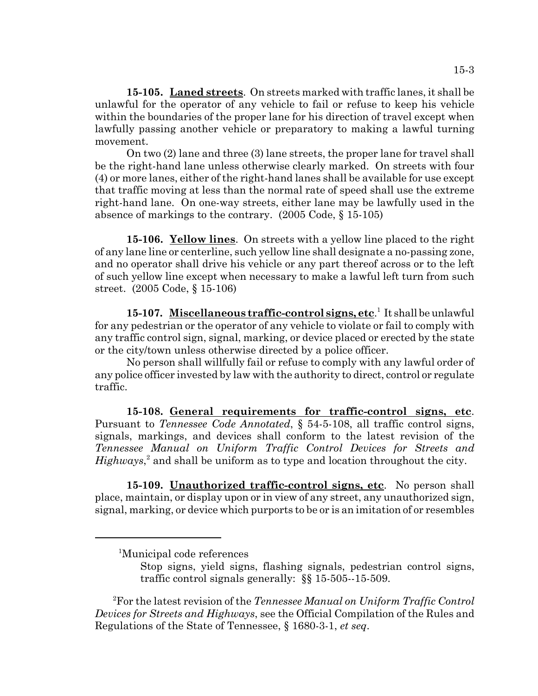**15-105. Laned streets**. On streets marked with traffic lanes, it shall be unlawful for the operator of any vehicle to fail or refuse to keep his vehicle within the boundaries of the proper lane for his direction of travel except when lawfully passing another vehicle or preparatory to making a lawful turning movement.

On two (2) lane and three (3) lane streets, the proper lane for travel shall be the right-hand lane unless otherwise clearly marked. On streets with four (4) or more lanes, either of the right-hand lanes shall be available for use except that traffic moving at less than the normal rate of speed shall use the extreme right-hand lane. On one-way streets, either lane may be lawfully used in the absence of markings to the contrary. (2005 Code, § 15-105)

**15-106. Yellow lines**. On streets with a yellow line placed to the right of any lane line or centerline, such yellow line shall designate a no-passing zone, and no operator shall drive his vehicle or any part thereof across or to the left of such yellow line except when necessary to make a lawful left turn from such street. (2005 Code, § 15-106)

15-107. Miscellaneous traffic-control signs, etc.<sup>1</sup> It shall be unlawful for any pedestrian or the operator of any vehicle to violate or fail to comply with any traffic control sign, signal, marking, or device placed or erected by the state or the city/town unless otherwise directed by a police officer.

No person shall willfully fail or refuse to comply with any lawful order of any police officer invested by law with the authority to direct, control or regulate traffic.

**15-108. General requirements for traffic-control signs, etc**. Pursuant to *Tennessee Code Annotated*, § 54-5-108, all traffic control signs, signals, markings, and devices shall conform to the latest revision of the *Tennessee Manual on Uniform Traffic Control Devices for Streets and* Highways,<sup>2</sup> and shall be uniform as to type and location throughout the city.

**15-109. Unauthorized traffic-control signs, etc**. No person shall place, maintain, or display upon or in view of any street, any unauthorized sign, signal, marking, or device which purports to be or is an imitation of or resembles

 <sup>2</sup> For the latest revision of the *Tennessee Manual on Uniform Traffic Control Devices for Streets and Highways*, see the Official Compilation of the Rules and Regulations of the State of Tennessee, § 1680-3-1, *et seq*.

<sup>1</sup> Municipal code references

Stop signs, yield signs, flashing signals, pedestrian control signs, traffic control signals generally: §§ 15-505--15-509.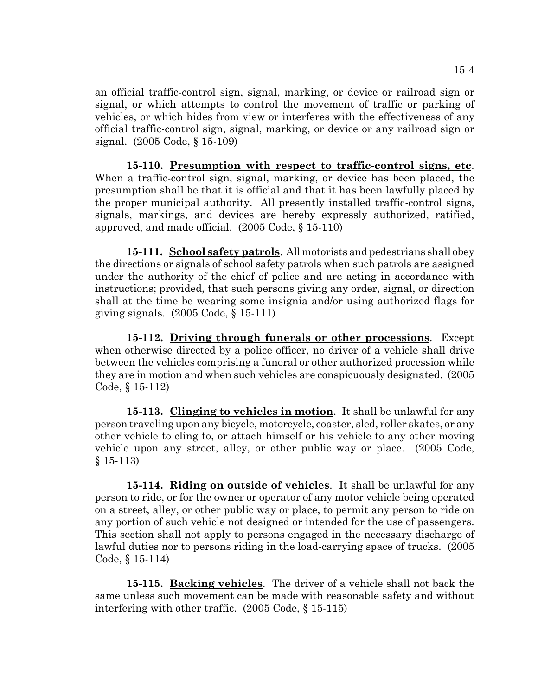an official traffic-control sign, signal, marking, or device or railroad sign or signal, or which attempts to control the movement of traffic or parking of vehicles, or which hides from view or interferes with the effectiveness of any official traffic-control sign, signal, marking, or device or any railroad sign or signal. (2005 Code, § 15-109)

**15-110. Presumption with respect to traffic-control signs, etc**. When a traffic-control sign, signal, marking, or device has been placed, the presumption shall be that it is official and that it has been lawfully placed by the proper municipal authority. All presently installed traffic-control signs, signals, markings, and devices are hereby expressly authorized, ratified, approved, and made official. (2005 Code, § 15-110)

**15-111. School safety patrols**. All motorists and pedestrians shall obey the directions or signals of school safety patrols when such patrols are assigned under the authority of the chief of police and are acting in accordance with instructions; provided, that such persons giving any order, signal, or direction shall at the time be wearing some insignia and/or using authorized flags for giving signals. (2005 Code, § 15-111)

**15-112. Driving through funerals or other processions**. Except when otherwise directed by a police officer, no driver of a vehicle shall drive between the vehicles comprising a funeral or other authorized procession while they are in motion and when such vehicles are conspicuously designated. (2005 Code, § 15-112)

**15-113. Clinging to vehicles in motion**. It shall be unlawful for any person traveling upon any bicycle, motorcycle, coaster, sled, roller skates, or any other vehicle to cling to, or attach himself or his vehicle to any other moving vehicle upon any street, alley, or other public way or place. (2005 Code, § 15-113)

**15-114. Riding on outside of vehicles**. It shall be unlawful for any person to ride, or for the owner or operator of any motor vehicle being operated on a street, alley, or other public way or place, to permit any person to ride on any portion of such vehicle not designed or intended for the use of passengers. This section shall not apply to persons engaged in the necessary discharge of lawful duties nor to persons riding in the load-carrying space of trucks. (2005 Code, § 15-114)

**15-115. Backing vehicles**. The driver of a vehicle shall not back the same unless such movement can be made with reasonable safety and without interfering with other traffic. (2005 Code, § 15-115)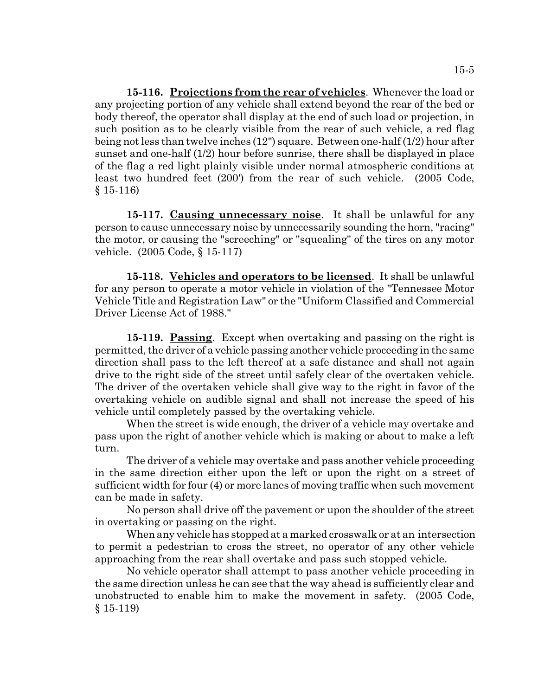**15-116. Projections from the rear of vehicles**. Whenever the load or any projecting portion of any vehicle shall extend beyond the rear of the bed or body thereof, the operator shall display at the end of such load or projection, in such position as to be clearly visible from the rear of such vehicle, a red flag being not less than twelve inches (12") square. Between one-half (1/2) hour after sunset and one-half (1/2) hour before sunrise, there shall be displayed in place of the flag a red light plainly visible under normal atmospheric conditions at least two hundred feet (200') from the rear of such vehicle. (2005 Code, § 15-116)

**15-117. Causing unnecessary noise**. It shall be unlawful for any person to cause unnecessary noise by unnecessarily sounding the horn, "racing" the motor, or causing the "screeching" or "squealing" of the tires on any motor vehicle. (2005 Code, § 15-117)

**15-118. Vehicles and operators to be licensed**. It shall be unlawful for any person to operate a motor vehicle in violation of the "Tennessee Motor Vehicle Title and Registration Law" or the "Uniform Classified and Commercial Driver License Act of 1988."

**15-119. Passing**. Except when overtaking and passing on the right is permitted, the driver of a vehicle passing another vehicle proceeding in the same direction shall pass to the left thereof at a safe distance and shall not again drive to the right side of the street until safely clear of the overtaken vehicle. The driver of the overtaken vehicle shall give way to the right in favor of the overtaking vehicle on audible signal and shall not increase the speed of his vehicle until completely passed by the overtaking vehicle.

When the street is wide enough, the driver of a vehicle may overtake and pass upon the right of another vehicle which is making or about to make a left turn.

The driver of a vehicle may overtake and pass another vehicle proceeding in the same direction either upon the left or upon the right on a street of sufficient width for four (4) or more lanes of moving traffic when such movement can be made in safety.

No person shall drive off the pavement or upon the shoulder of the street in overtaking or passing on the right.

 When any vehicle has stopped at a marked crosswalk or at an intersection to permit a pedestrian to cross the street, no operator of any other vehicle approaching from the rear shall overtake and pass such stopped vehicle.

No vehicle operator shall attempt to pass another vehicle proceeding in the same direction unless he can see that the way ahead is sufficiently clear and unobstructed to enable him to make the movement in safety. (2005 Code, § 15-119)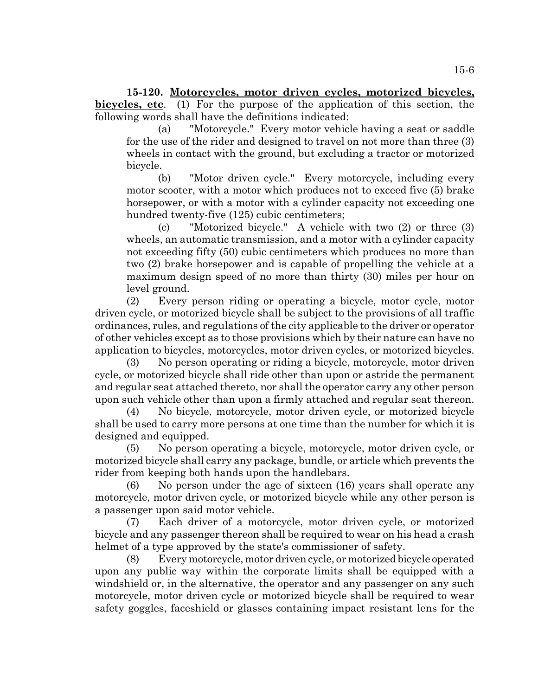**15-120. Motorcycles, motor driven cycles, motorized bicycles, bicycles, etc**. (1) For the purpose of the application of this section, the following words shall have the definitions indicated:

(a) "Motorcycle." Every motor vehicle having a seat or saddle for the use of the rider and designed to travel on not more than three (3) wheels in contact with the ground, but excluding a tractor or motorized bicycle.

(b) "Motor driven cycle." Every motorcycle, including every motor scooter, with a motor which produces not to exceed five (5) brake horsepower, or with a motor with a cylinder capacity not exceeding one hundred twenty-five (125) cubic centimeters;

(c) "Motorized bicycle." A vehicle with two (2) or three (3) wheels, an automatic transmission, and a motor with a cylinder capacity not exceeding fifty (50) cubic centimeters which produces no more than two (2) brake horsepower and is capable of propelling the vehicle at a maximum design speed of no more than thirty (30) miles per hour on level ground.

(2) Every person riding or operating a bicycle, motor cycle, motor driven cycle, or motorized bicycle shall be subject to the provisions of all traffic ordinances, rules, and regulations of the city applicable to the driver or operator of other vehicles except as to those provisions which by their nature can have no application to bicycles, motorcycles, motor driven cycles, or motorized bicycles.

(3) No person operating or riding a bicycle, motorcycle, motor driven cycle, or motorized bicycle shall ride other than upon or astride the permanent and regular seat attached thereto, nor shall the operator carry any other person upon such vehicle other than upon a firmly attached and regular seat thereon.

(4) No bicycle, motorcycle, motor driven cycle, or motorized bicycle shall be used to carry more persons at one time than the number for which it is designed and equipped.

(5) No person operating a bicycle, motorcycle, motor driven cycle, or motorized bicycle shall carry any package, bundle, or article which prevents the rider from keeping both hands upon the handlebars.

(6) No person under the age of sixteen (16) years shall operate any motorcycle, motor driven cycle, or motorized bicycle while any other person is a passenger upon said motor vehicle.

(7) Each driver of a motorcycle, motor driven cycle, or motorized bicycle and any passenger thereon shall be required to wear on his head a crash helmet of a type approved by the state's commissioner of safety.

(8) Every motorcycle, motor driven cycle, or motorized bicycle operated upon any public way within the corporate limits shall be equipped with a windshield or, in the alternative, the operator and any passenger on any such motorcycle, motor driven cycle or motorized bicycle shall be required to wear safety goggles, faceshield or glasses containing impact resistant lens for the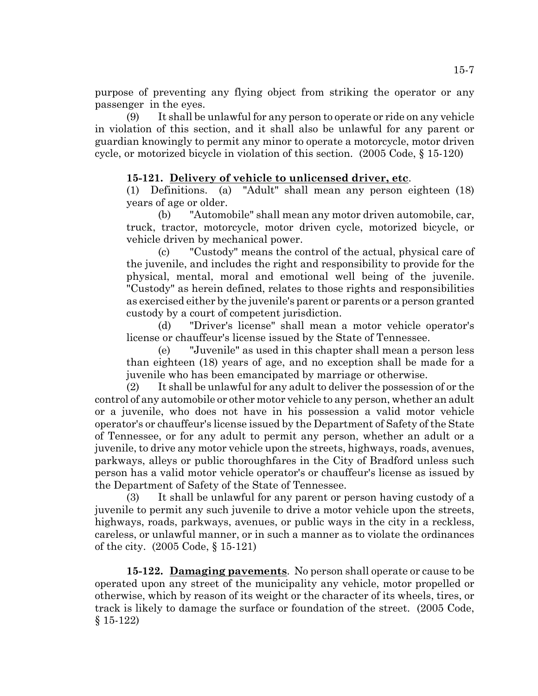purpose of preventing any flying object from striking the operator or any passenger in the eyes.

(9) It shall be unlawful for any person to operate or ride on any vehicle in violation of this section, and it shall also be unlawful for any parent or guardian knowingly to permit any minor to operate a motorcycle, motor driven cycle, or motorized bicycle in violation of this section. (2005 Code, § 15-120)

# **15-121. Delivery of vehicle to unlicensed driver, etc**.

(1) Definitions. (a) "Adult" shall mean any person eighteen (18) years of age or older.

(b) "Automobile" shall mean any motor driven automobile, car, truck, tractor, motorcycle, motor driven cycle, motorized bicycle, or vehicle driven by mechanical power.

(c) "Custody" means the control of the actual, physical care of the juvenile, and includes the right and responsibility to provide for the physical, mental, moral and emotional well being of the juvenile. "Custody" as herein defined, relates to those rights and responsibilities as exercised either by the juvenile's parent or parents or a person granted custody by a court of competent jurisdiction.

(d) "Driver's license" shall mean a motor vehicle operator's license or chauffeur's license issued by the State of Tennessee.

(e) "Juvenile" as used in this chapter shall mean a person less than eighteen (18) years of age, and no exception shall be made for a juvenile who has been emancipated by marriage or otherwise.

(2) It shall be unlawful for any adult to deliver the possession of or the control of any automobile or other motor vehicle to any person, whether an adult or a juvenile, who does not have in his possession a valid motor vehicle operator's or chauffeur's license issued by the Department of Safety of the State of Tennessee, or for any adult to permit any person, whether an adult or a juvenile, to drive any motor vehicle upon the streets, highways, roads, avenues, parkways, alleys or public thoroughfares in the City of Bradford unless such person has a valid motor vehicle operator's or chauffeur's license as issued by the Department of Safety of the State of Tennessee.

(3) It shall be unlawful for any parent or person having custody of a juvenile to permit any such juvenile to drive a motor vehicle upon the streets, highways, roads, parkways, avenues, or public ways in the city in a reckless, careless, or unlawful manner, or in such a manner as to violate the ordinances of the city. (2005 Code, § 15-121)

**15-122. Damaging pavements**. No person shall operate or cause to be operated upon any street of the municipality any vehicle, motor propelled or otherwise, which by reason of its weight or the character of its wheels, tires, or track is likely to damage the surface or foundation of the street. (2005 Code, § 15-122)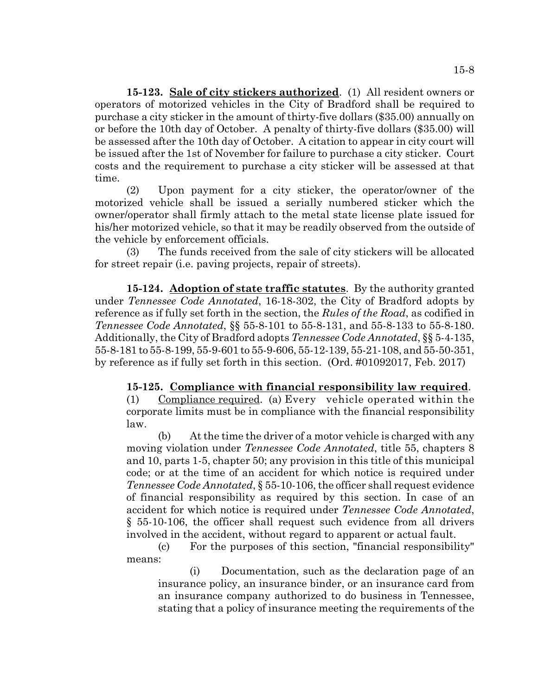**15-123. Sale of city stickers authorized**. (1) All resident owners or operators of motorized vehicles in the City of Bradford shall be required to purchase a city sticker in the amount of thirty-five dollars (\$35.00) annually on or before the 10th day of October. A penalty of thirty-five dollars (\$35.00) will be assessed after the 10th day of October. A citation to appear in city court will be issued after the 1st of November for failure to purchase a city sticker. Court costs and the requirement to purchase a city sticker will be assessed at that time.

(2) Upon payment for a city sticker, the operator/owner of the motorized vehicle shall be issued a serially numbered sticker which the owner/operator shall firmly attach to the metal state license plate issued for his/her motorized vehicle, so that it may be readily observed from the outside of the vehicle by enforcement officials.

(3) The funds received from the sale of city stickers will be allocated for street repair (i.e. paving projects, repair of streets).

**15-124. Adoption of state traffic statutes**. By the authority granted under *Tennessee Code Annotated*, 16-18-302, the City of Bradford adopts by reference as if fully set forth in the section, the *Rules of the Road*, as codified in *Tennessee Code Annotated*, §§ 55-8-101 to 55-8-131, and 55-8-133 to 55-8-180. Additionally, the City of Bradford adopts *Tennessee Code Annotated*, §§ 5-4-135, 55-8-181 to 55-8-199, 55-9-601 to 55-9-606, 55-12-139, 55-21-108, and 55-50-351, by reference as if fully set forth in this section. (Ord. #01092017, Feb. 2017)

## **15-125. Compliance with financial responsibility law required**.

(1) Compliance required. (a) Every vehicle operated within the corporate limits must be in compliance with the financial responsibility law.

(b) At the time the driver of a motor vehicle is charged with any moving violation under *Tennessee Code Annotated*, title 55, chapters 8 and 10, parts 1-5, chapter 50; any provision in this title of this municipal code; or at the time of an accident for which notice is required under *Tennessee Code Annotated*, § 55-10-106, the officer shall request evidence of financial responsibility as required by this section. In case of an accident for which notice is required under *Tennessee Code Annotated*, § 55-10-106, the officer shall request such evidence from all drivers involved in the accident, without regard to apparent or actual fault.

(c) For the purposes of this section, "financial responsibility" means:

(i) Documentation, such as the declaration page of an insurance policy, an insurance binder, or an insurance card from an insurance company authorized to do business in Tennessee, stating that a policy of insurance meeting the requirements of the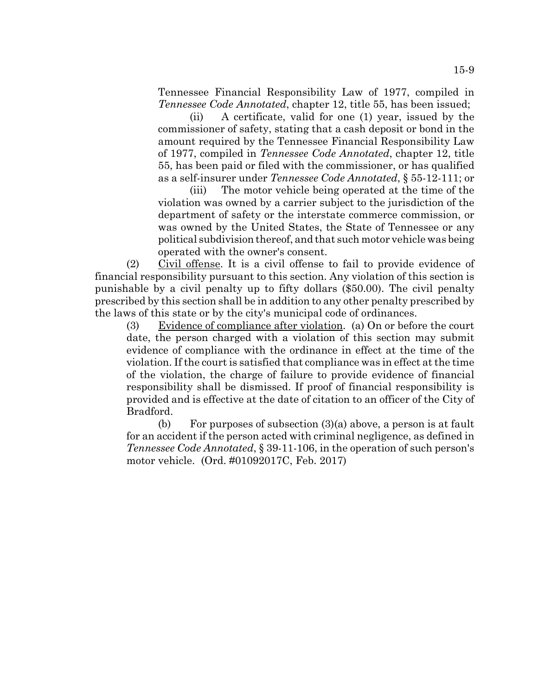Tennessee Financial Responsibility Law of 1977, compiled in *Tennessee Code Annotated*, chapter 12, title 55, has been issued;

(ii) A certificate, valid for one (1) year, issued by the commissioner of safety, stating that a cash deposit or bond in the amount required by the Tennessee Financial Responsibility Law of 1977, compiled in *Tennessee Code Annotated*, chapter 12, title 55, has been paid or filed with the commissioner, or has qualified as a self-insurer under *Tennessee Code Annotated*, § 55-12-111; or

(iii) The motor vehicle being operated at the time of the violation was owned by a carrier subject to the jurisdiction of the department of safety or the interstate commerce commission, or was owned by the United States, the State of Tennessee or any political subdivision thereof, and that such motor vehicle was being operated with the owner's consent.

(2) Civil offense. It is a civil offense to fail to provide evidence of financial responsibility pursuant to this section. Any violation of this section is punishable by a civil penalty up to fifty dollars (\$50.00). The civil penalty prescribed by this section shall be in addition to any other penalty prescribed by the laws of this state or by the city's municipal code of ordinances.

(3) Evidence of compliance after violation. (a) On or before the court date, the person charged with a violation of this section may submit evidence of compliance with the ordinance in effect at the time of the violation. If the court is satisfied that compliance was in effect at the time of the violation, the charge of failure to provide evidence of financial responsibility shall be dismissed. If proof of financial responsibility is provided and is effective at the date of citation to an officer of the City of Bradford.

(b) For purposes of subsection (3)(a) above, a person is at fault for an accident if the person acted with criminal negligence, as defined in *Tennessee Code Annotated*, § 39-11-106, in the operation of such person's motor vehicle. (Ord. #01092017C, Feb. 2017)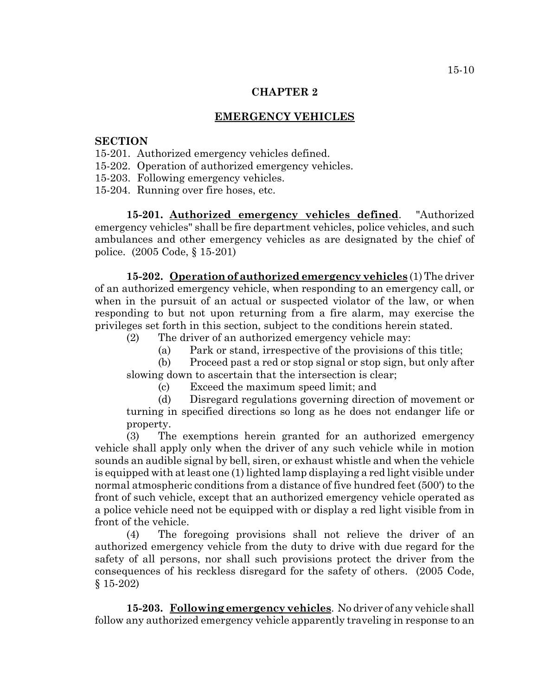#### **EMERGENCY VEHICLES**

## **SECTION**

- 15-201. Authorized emergency vehicles defined.
- 15-202. Operation of authorized emergency vehicles.
- 15-203. Following emergency vehicles.
- 15-204. Running over fire hoses, etc.

**15-201. Authorized emergency vehicles defined**. "Authorized emergency vehicles" shall be fire department vehicles, police vehicles, and such ambulances and other emergency vehicles as are designated by the chief of police. (2005 Code, § 15-201)

**15-202. Operation of authorized emergency vehicles** (1) The driver of an authorized emergency vehicle, when responding to an emergency call, or when in the pursuit of an actual or suspected violator of the law, or when responding to but not upon returning from a fire alarm, may exercise the privileges set forth in this section, subject to the conditions herein stated.

- (2) The driver of an authorized emergency vehicle may:
	- (a) Park or stand, irrespective of the provisions of this title;
- (b) Proceed past a red or stop signal or stop sign, but only after slowing down to ascertain that the intersection is clear;

(c) Exceed the maximum speed limit; and

(d) Disregard regulations governing direction of movement or turning in specified directions so long as he does not endanger life or property.

(3) The exemptions herein granted for an authorized emergency vehicle shall apply only when the driver of any such vehicle while in motion sounds an audible signal by bell, siren, or exhaust whistle and when the vehicle is equipped with at least one (1) lighted lamp displaying a red light visible under normal atmospheric conditions from a distance of five hundred feet (500') to the front of such vehicle, except that an authorized emergency vehicle operated as a police vehicle need not be equipped with or display a red light visible from in front of the vehicle.

(4) The foregoing provisions shall not relieve the driver of an authorized emergency vehicle from the duty to drive with due regard for the safety of all persons, nor shall such provisions protect the driver from the consequences of his reckless disregard for the safety of others. (2005 Code, § 15-202)

**15-203. Following emergency vehicles**. No driver of any vehicle shall follow any authorized emergency vehicle apparently traveling in response to an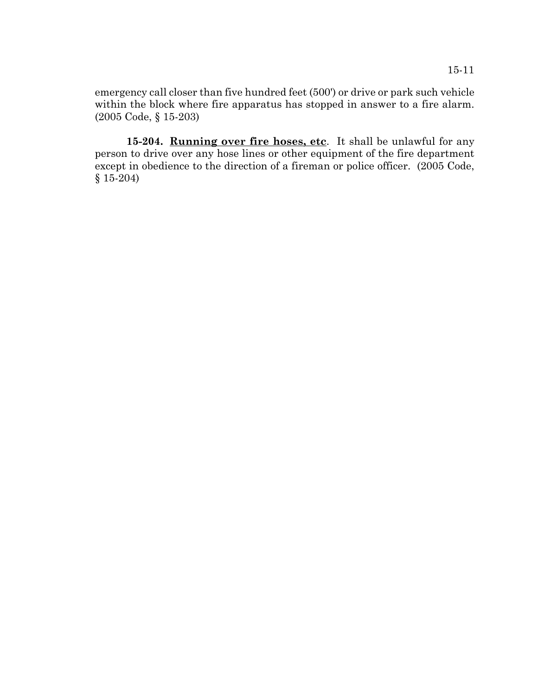emergency call closer than five hundred feet (500') or drive or park such vehicle within the block where fire apparatus has stopped in answer to a fire alarm. (2005 Code, § 15-203)

15-204. **Running over fire hoses, etc**. It shall be unlawful for any person to drive over any hose lines or other equipment of the fire department except in obedience to the direction of a fireman or police officer. (2005 Code, § 15-204)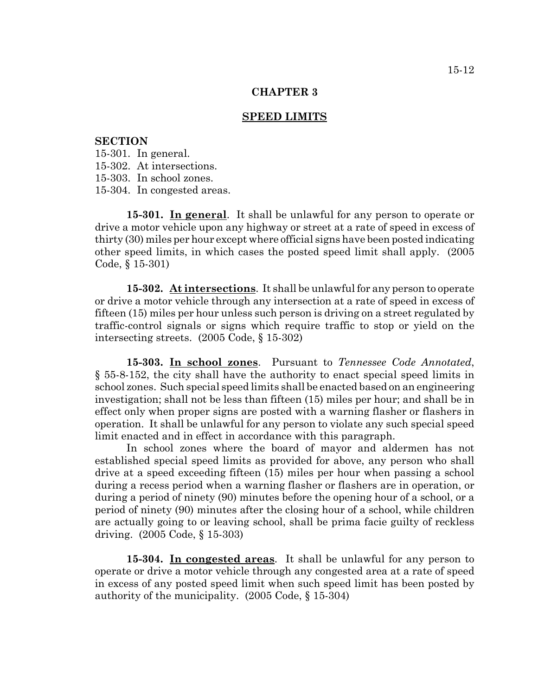#### **SPEED LIMITS**

### **SECTION**

15-301. In general.

15-302. At intersections.

15-303. In school zones.

15-304. In congested areas.

**15-301. In general**. It shall be unlawful for any person to operate or drive a motor vehicle upon any highway or street at a rate of speed in excess of thirty (30) miles per hour except where official signs have been posted indicating other speed limits, in which cases the posted speed limit shall apply. (2005 Code, § 15-301)

**15-302. At intersections**. It shall be unlawful for any person to operate or drive a motor vehicle through any intersection at a rate of speed in excess of fifteen (15) miles per hour unless such person is driving on a street regulated by traffic-control signals or signs which require traffic to stop or yield on the intersecting streets. (2005 Code, § 15-302)

**15-303. In school zones**. Pursuant to *Tennessee Code Annotated*, § 55-8-152, the city shall have the authority to enact special speed limits in school zones. Such special speed limits shall be enacted based on an engineering investigation; shall not be less than fifteen (15) miles per hour; and shall be in effect only when proper signs are posted with a warning flasher or flashers in operation. It shall be unlawful for any person to violate any such special speed limit enacted and in effect in accordance with this paragraph.

In school zones where the board of mayor and aldermen has not established special speed limits as provided for above, any person who shall drive at a speed exceeding fifteen (15) miles per hour when passing a school during a recess period when a warning flasher or flashers are in operation, or during a period of ninety (90) minutes before the opening hour of a school, or a period of ninety (90) minutes after the closing hour of a school, while children are actually going to or leaving school, shall be prima facie guilty of reckless driving. (2005 Code, § 15-303)

**15-304. In congested areas**. It shall be unlawful for any person to operate or drive a motor vehicle through any congested area at a rate of speed in excess of any posted speed limit when such speed limit has been posted by authority of the municipality. (2005 Code, § 15-304)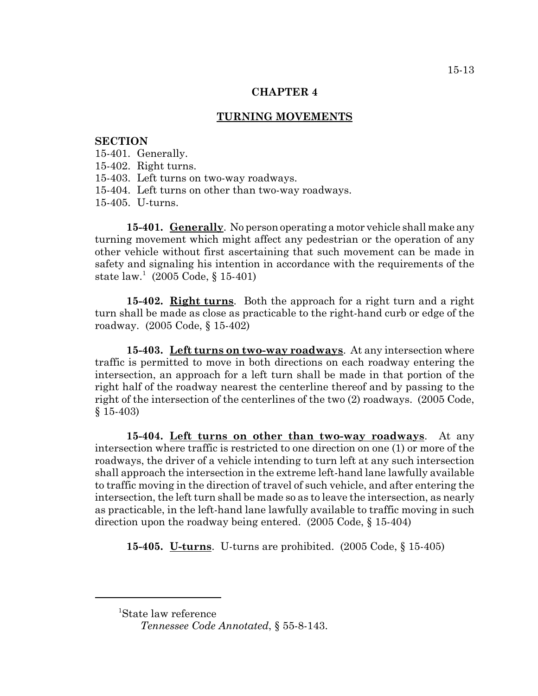### **TURNING MOVEMENTS**

### **SECTION**

15-401. Generally.

15-402. Right turns.

15-403. Left turns on two-way roadways.

15-404. Left turns on other than two-way roadways.

15-405. U-turns.

**15-401. Generally**. No person operating a motor vehicle shall make any turning movement which might affect any pedestrian or the operation of any other vehicle without first ascertaining that such movement can be made in safety and signaling his intention in accordance with the requirements of the state law.<sup>1</sup> (2005 Code, § 15-401)

**15-402. Right turns**. Both the approach for a right turn and a right turn shall be made as close as practicable to the right-hand curb or edge of the roadway. (2005 Code, § 15-402)

**15-403. Left turns on two-way roadways**. At any intersection where traffic is permitted to move in both directions on each roadway entering the intersection, an approach for a left turn shall be made in that portion of the right half of the roadway nearest the centerline thereof and by passing to the right of the intersection of the centerlines of the two (2) roadways. (2005 Code, § 15-403)

**15-404. Left turns on other than two-way roadways**. At any intersection where traffic is restricted to one direction on one (1) or more of the roadways, the driver of a vehicle intending to turn left at any such intersection shall approach the intersection in the extreme left-hand lane lawfully available to traffic moving in the direction of travel of such vehicle, and after entering the intersection, the left turn shall be made so as to leave the intersection, as nearly as practicable, in the left-hand lane lawfully available to traffic moving in such direction upon the roadway being entered. (2005 Code, § 15-404)

**15-405. U-turns**. U-turns are prohibited. (2005 Code, § 15-405)

<sup>1</sup> State law reference

*Tennessee Code Annotated*, § 55-8-143.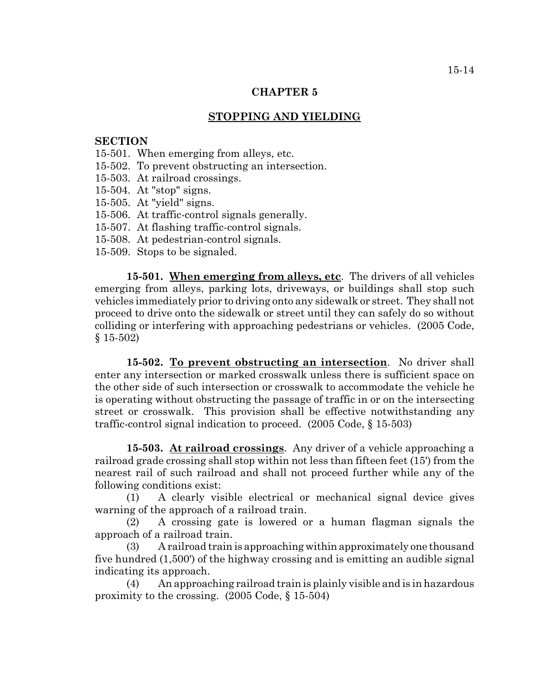## **STOPPING AND YIELDING**

### **SECTION**

- 15-501. When emerging from alleys, etc.
- 15-502. To prevent obstructing an intersection.
- 15-503. At railroad crossings.
- 15-504. At "stop" signs.
- 15-505. At "yield" signs.
- 15-506. At traffic-control signals generally.
- 15-507. At flashing traffic-control signals.
- 15-508. At pedestrian-control signals.
- 15-509. Stops to be signaled.

**15-501. When emerging from alleys, etc**. The drivers of all vehicles emerging from alleys, parking lots, driveways, or buildings shall stop such vehicles immediately prior to driving onto any sidewalk or street. They shall not proceed to drive onto the sidewalk or street until they can safely do so without colliding or interfering with approaching pedestrians or vehicles. (2005 Code, § 15-502)

**15-502. To prevent obstructing an intersection**. No driver shall enter any intersection or marked crosswalk unless there is sufficient space on the other side of such intersection or crosswalk to accommodate the vehicle he is operating without obstructing the passage of traffic in or on the intersecting street or crosswalk. This provision shall be effective notwithstanding any traffic-control signal indication to proceed. (2005 Code, § 15-503)

**15-503. At railroad crossings**. Any driver of a vehicle approaching a railroad grade crossing shall stop within not less than fifteen feet (15') from the nearest rail of such railroad and shall not proceed further while any of the following conditions exist:

(1) A clearly visible electrical or mechanical signal device gives warning of the approach of a railroad train.

(2) A crossing gate is lowered or a human flagman signals the approach of a railroad train.

(3) A railroad train is approaching within approximately one thousand five hundred (1,500') of the highway crossing and is emitting an audible signal indicating its approach.

(4) An approaching railroad train is plainly visible and is in hazardous proximity to the crossing. (2005 Code, § 15-504)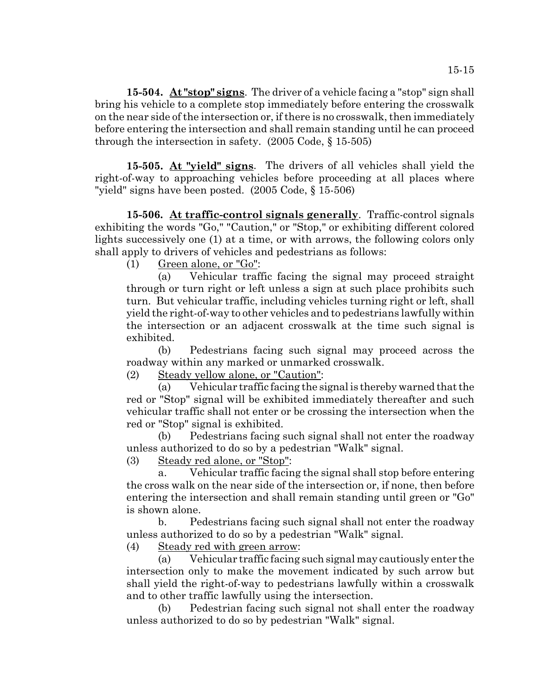**15-504. At "stop" signs**. The driver of a vehicle facing a "stop" sign shall bring his vehicle to a complete stop immediately before entering the crosswalk on the near side of the intersection or, if there is no crosswalk, then immediately before entering the intersection and shall remain standing until he can proceed through the intersection in safety. (2005 Code, § 15-505)

**15-505. At "yield" signs**. The drivers of all vehicles shall yield the right-of-way to approaching vehicles before proceeding at all places where "yield" signs have been posted. (2005 Code, § 15-506)

**15-506. At traffic-control signals generally**. Traffic-control signals exhibiting the words "Go," "Caution," or "Stop," or exhibiting different colored lights successively one (1) at a time, or with arrows, the following colors only shall apply to drivers of vehicles and pedestrians as follows:

(1) Green alone, or "Go":

(a) Vehicular traffic facing the signal may proceed straight through or turn right or left unless a sign at such place prohibits such turn. But vehicular traffic, including vehicles turning right or left, shall yield the right-of-way to other vehicles and to pedestrians lawfully within the intersection or an adjacent crosswalk at the time such signal is exhibited.

(b) Pedestrians facing such signal may proceed across the roadway within any marked or unmarked crosswalk.

(2) Steady yellow alone, or "Caution":

(a) Vehicular traffic facing the signal is thereby warned that the red or "Stop" signal will be exhibited immediately thereafter and such vehicular traffic shall not enter or be crossing the intersection when the red or "Stop" signal is exhibited.

(b) Pedestrians facing such signal shall not enter the roadway unless authorized to do so by a pedestrian "Walk" signal.

(3) Steady red alone, or "Stop":

a. Vehicular traffic facing the signal shall stop before entering the cross walk on the near side of the intersection or, if none, then before entering the intersection and shall remain standing until green or "Go" is shown alone.

b. Pedestrians facing such signal shall not enter the roadway unless authorized to do so by a pedestrian "Walk" signal.

(4) Steady red with green arrow:

(a) Vehicular traffic facing such signal may cautiously enter the intersection only to make the movement indicated by such arrow but shall yield the right-of-way to pedestrians lawfully within a crosswalk and to other traffic lawfully using the intersection.

(b) Pedestrian facing such signal not shall enter the roadway unless authorized to do so by pedestrian "Walk" signal.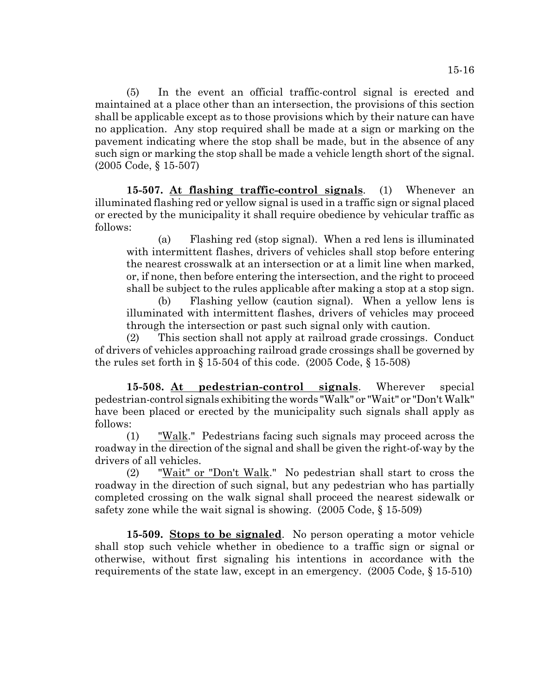(5) In the event an official traffic-control signal is erected and maintained at a place other than an intersection, the provisions of this section shall be applicable except as to those provisions which by their nature can have no application. Any stop required shall be made at a sign or marking on the pavement indicating where the stop shall be made, but in the absence of any such sign or marking the stop shall be made a vehicle length short of the signal. (2005 Code, § 15-507)

**15-507. At flashing traffic-control signals**. (1) Whenever an illuminated flashing red or yellow signal is used in a traffic sign or signal placed or erected by the municipality it shall require obedience by vehicular traffic as follows:

(a) Flashing red (stop signal). When a red lens is illuminated with intermittent flashes, drivers of vehicles shall stop before entering the nearest crosswalk at an intersection or at a limit line when marked, or, if none, then before entering the intersection, and the right to proceed shall be subject to the rules applicable after making a stop at a stop sign.

(b) Flashing yellow (caution signal). When a yellow lens is illuminated with intermittent flashes, drivers of vehicles may proceed through the intersection or past such signal only with caution.

(2) This section shall not apply at railroad grade crossings. Conduct of drivers of vehicles approaching railroad grade crossings shall be governed by the rules set forth in  $\S 15-504$  of this code.  $(2005 \text{ Code}, \S 15-508)$ 

**15-508. At pedestrian-control signals**. Wherever special pedestrian-control signals exhibiting the words "Walk" or "Wait" or "Don't Walk" have been placed or erected by the municipality such signals shall apply as follows:

(1) "Walk." Pedestrians facing such signals may proceed across the roadway in the direction of the signal and shall be given the right-of-way by the drivers of all vehicles.

(2) "Wait" or "Don't Walk." No pedestrian shall start to cross the roadway in the direction of such signal, but any pedestrian who has partially completed crossing on the walk signal shall proceed the nearest sidewalk or safety zone while the wait signal is showing. (2005 Code, § 15-509)

**15-509. Stops to be signaled**. No person operating a motor vehicle shall stop such vehicle whether in obedience to a traffic sign or signal or otherwise, without first signaling his intentions in accordance with the requirements of the state law, except in an emergency. (2005 Code, § 15-510)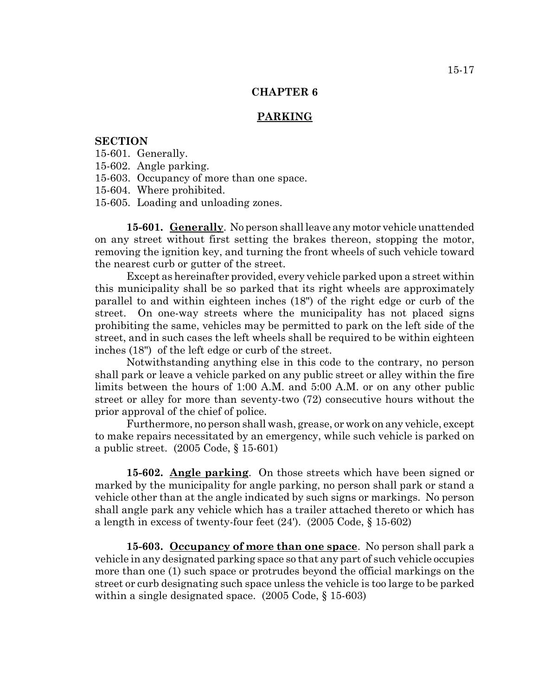### **PARKING**

## **SECTION**

- 15-601. Generally.
- 15-602. Angle parking.
- 15-603. Occupancy of more than one space.
- 15-604. Where prohibited.
- 15-605. Loading and unloading zones.

**15-601. Generally**. No person shall leave any motor vehicle unattended on any street without first setting the brakes thereon, stopping the motor, removing the ignition key, and turning the front wheels of such vehicle toward the nearest curb or gutter of the street.

Except as hereinafter provided, every vehicle parked upon a street within this municipality shall be so parked that its right wheels are approximately parallel to and within eighteen inches (18") of the right edge or curb of the street. On one-way streets where the municipality has not placed signs prohibiting the same, vehicles may be permitted to park on the left side of the street, and in such cases the left wheels shall be required to be within eighteen inches (18") of the left edge or curb of the street.

Notwithstanding anything else in this code to the contrary, no person shall park or leave a vehicle parked on any public street or alley within the fire limits between the hours of 1:00 A.M. and 5:00 A.M. or on any other public street or alley for more than seventy-two (72) consecutive hours without the prior approval of the chief of police.

Furthermore, no person shall wash, grease, or work on any vehicle, except to make repairs necessitated by an emergency, while such vehicle is parked on a public street. (2005 Code, § 15-601)

**15-602. Angle parking**. On those streets which have been signed or marked by the municipality for angle parking, no person shall park or stand a vehicle other than at the angle indicated by such signs or markings. No person shall angle park any vehicle which has a trailer attached thereto or which has a length in excess of twenty-four feet (24'). (2005 Code, § 15-602)

**15-603. Occupancy of more than one space**. No person shall park a vehicle in any designated parking space so that any part of such vehicle occupies more than one (1) such space or protrudes beyond the official markings on the street or curb designating such space unless the vehicle is too large to be parked within a single designated space. (2005 Code,  $\{15-603\}$ )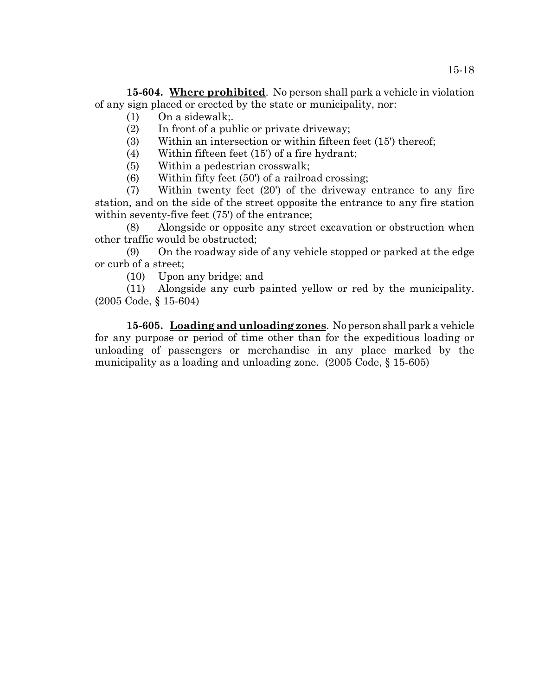**15-604. Where prohibited**. No person shall park a vehicle in violation of any sign placed or erected by the state or municipality, nor:

- (1) On a sidewalk;.
- (2) In front of a public or private driveway;
- (3) Within an intersection or within fifteen feet (15') thereof;
- (4) Within fifteen feet (15') of a fire hydrant;
- (5) Within a pedestrian crosswalk;
- (6) Within fifty feet (50') of a railroad crossing;

(7) Within twenty feet (20') of the driveway entrance to any fire station, and on the side of the street opposite the entrance to any fire station within seventy-five feet (75') of the entrance;

(8) Alongside or opposite any street excavation or obstruction when other traffic would be obstructed;

(9) On the roadway side of any vehicle stopped or parked at the edge or curb of a street;

(10) Upon any bridge; and

(11) Alongside any curb painted yellow or red by the municipality. (2005 Code, § 15-604)

**15-605. Loading and unloading zones**. No person shall park a vehicle for any purpose or period of time other than for the expeditious loading or unloading of passengers or merchandise in any place marked by the municipality as a loading and unloading zone. (2005 Code, § 15-605)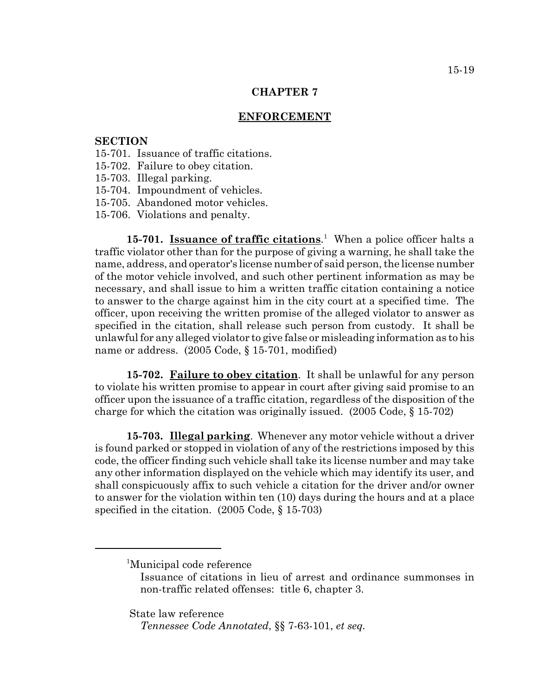#### **ENFORCEMENT**

### **SECTION**

- 15-701. Issuance of traffic citations.
- 15-702. Failure to obey citation.
- 15-703. Illegal parking.
- 15-704. Impoundment of vehicles.
- 15-705. Abandoned motor vehicles.
- 15-706. Violations and penalty.

15-701. **Issuance of traffic citations**.<sup>1</sup> When a police officer halts a traffic violator other than for the purpose of giving a warning, he shall take the name, address, and operator's license number of said person, the license number of the motor vehicle involved, and such other pertinent information as may be necessary, and shall issue to him a written traffic citation containing a notice to answer to the charge against him in the city court at a specified time. The officer, upon receiving the written promise of the alleged violator to answer as specified in the citation, shall release such person from custody. It shall be unlawful for any alleged violator to give false or misleading information as to his name or address. (2005 Code, § 15-701, modified)

**15-702. Failure to obey citation**. It shall be unlawful for any person to violate his written promise to appear in court after giving said promise to an officer upon the issuance of a traffic citation, regardless of the disposition of the charge for which the citation was originally issued.  $(2005 \text{ Code}, \S 15-702)$ 

**15-703. Illegal parking**. Whenever any motor vehicle without a driver is found parked or stopped in violation of any of the restrictions imposed by this code, the officer finding such vehicle shall take its license number and may take any other information displayed on the vehicle which may identify its user, and shall conspicuously affix to such vehicle a citation for the driver and/or owner to answer for the violation within ten (10) days during the hours and at a place specified in the citation. (2005 Code, § 15-703)

State law reference

<sup>&</sup>lt;sup>1</sup>Municipal code reference

Issuance of citations in lieu of arrest and ordinance summonses in non-traffic related offenses: title 6, chapter 3.

*Tennessee Code Annotated*, §§ 7-63-101, *et seq.*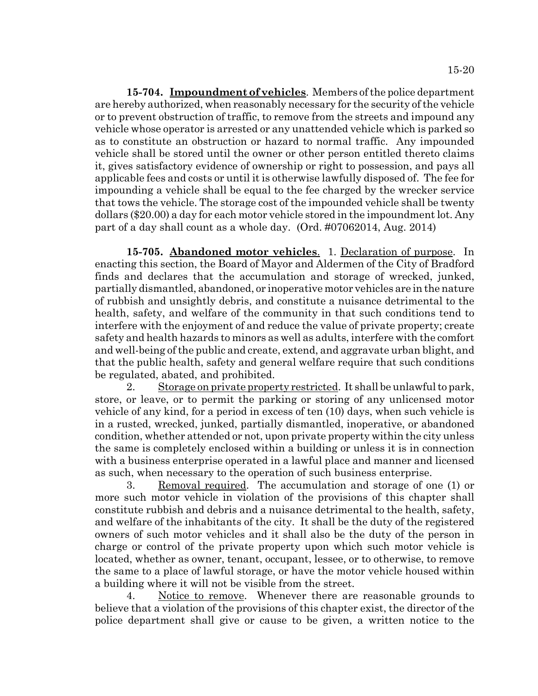**15-704. Impoundment of vehicles**. Members of the police department are hereby authorized, when reasonably necessary for the security of the vehicle or to prevent obstruction of traffic, to remove from the streets and impound any vehicle whose operator is arrested or any unattended vehicle which is parked so as to constitute an obstruction or hazard to normal traffic. Any impounded vehicle shall be stored until the owner or other person entitled thereto claims it, gives satisfactory evidence of ownership or right to possession, and pays all applicable fees and costs or until it is otherwise lawfully disposed of. The fee for impounding a vehicle shall be equal to the fee charged by the wrecker service that tows the vehicle. The storage cost of the impounded vehicle shall be twenty dollars (\$20.00) a day for each motor vehicle stored in the impoundment lot. Any part of a day shall count as a whole day. (Ord. #07062014, Aug. 2014)

**15-705. Abandoned motor vehicles**. 1. Declaration of purpose. In enacting this section, the Board of Mayor and Aldermen of the City of Bradford finds and declares that the accumulation and storage of wrecked, junked, partially dismantled, abandoned, or inoperative motor vehicles are in the nature of rubbish and unsightly debris, and constitute a nuisance detrimental to the health, safety, and welfare of the community in that such conditions tend to interfere with the enjoyment of and reduce the value of private property; create safety and health hazards to minors as well as adults, interfere with the comfort and well-being of the public and create, extend, and aggravate urban blight, and that the public health, safety and general welfare require that such conditions be regulated, abated, and prohibited.

2. Storage on private property restricted. It shall be unlawful to park, store, or leave, or to permit the parking or storing of any unlicensed motor vehicle of any kind, for a period in excess of ten (10) days, when such vehicle is in a rusted, wrecked, junked, partially dismantled, inoperative, or abandoned condition, whether attended or not, upon private property within the city unless the same is completely enclosed within a building or unless it is in connection with a business enterprise operated in a lawful place and manner and licensed as such, when necessary to the operation of such business enterprise.

3. Removal required. The accumulation and storage of one (1) or more such motor vehicle in violation of the provisions of this chapter shall constitute rubbish and debris and a nuisance detrimental to the health, safety, and welfare of the inhabitants of the city. It shall be the duty of the registered owners of such motor vehicles and it shall also be the duty of the person in charge or control of the private property upon which such motor vehicle is located, whether as owner, tenant, occupant, lessee, or to otherwise, to remove the same to a place of lawful storage, or have the motor vehicle housed within a building where it will not be visible from the street.

4. Notice to remove. Whenever there are reasonable grounds to believe that a violation of the provisions of this chapter exist, the director of the police department shall give or cause to be given, a written notice to the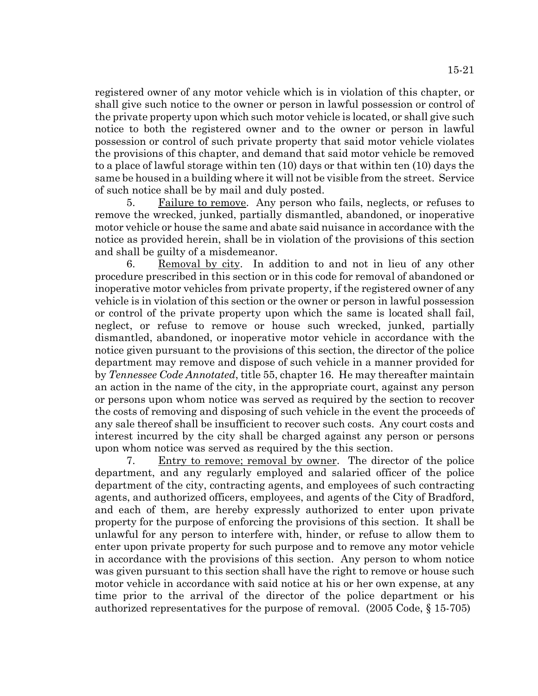registered owner of any motor vehicle which is in violation of this chapter, or shall give such notice to the owner or person in lawful possession or control of the private property upon which such motor vehicle is located, or shall give such notice to both the registered owner and to the owner or person in lawful possession or control of such private property that said motor vehicle violates the provisions of this chapter, and demand that said motor vehicle be removed to a place of lawful storage within ten (10) days or that within ten (10) days the same be housed in a building where it will not be visible from the street. Service of such notice shall be by mail and duly posted.

5. Failure to remove. Any person who fails, neglects, or refuses to remove the wrecked, junked, partially dismantled, abandoned, or inoperative motor vehicle or house the same and abate said nuisance in accordance with the notice as provided herein, shall be in violation of the provisions of this section and shall be guilty of a misdemeanor.

6. Removal by city. In addition to and not in lieu of any other procedure prescribed in this section or in this code for removal of abandoned or inoperative motor vehicles from private property, if the registered owner of any vehicle is in violation of this section or the owner or person in lawful possession or control of the private property upon which the same is located shall fail, neglect, or refuse to remove or house such wrecked, junked, partially dismantled, abandoned, or inoperative motor vehicle in accordance with the notice given pursuant to the provisions of this section, the director of the police department may remove and dispose of such vehicle in a manner provided for by *Tennessee Code Annotated*, title 55, chapter 16. He may thereafter maintain an action in the name of the city, in the appropriate court, against any person or persons upon whom notice was served as required by the section to recover the costs of removing and disposing of such vehicle in the event the proceeds of any sale thereof shall be insufficient to recover such costs. Any court costs and interest incurred by the city shall be charged against any person or persons upon whom notice was served as required by the this section.

7. Entry to remove; removal by owner. The director of the police department, and any regularly employed and salaried officer of the police department of the city, contracting agents, and employees of such contracting agents, and authorized officers, employees, and agents of the City of Bradford, and each of them, are hereby expressly authorized to enter upon private property for the purpose of enforcing the provisions of this section. It shall be unlawful for any person to interfere with, hinder, or refuse to allow them to enter upon private property for such purpose and to remove any motor vehicle in accordance with the provisions of this section. Any person to whom notice was given pursuant to this section shall have the right to remove or house such motor vehicle in accordance with said notice at his or her own expense, at any time prior to the arrival of the director of the police department or his authorized representatives for the purpose of removal. (2005 Code, § 15-705)